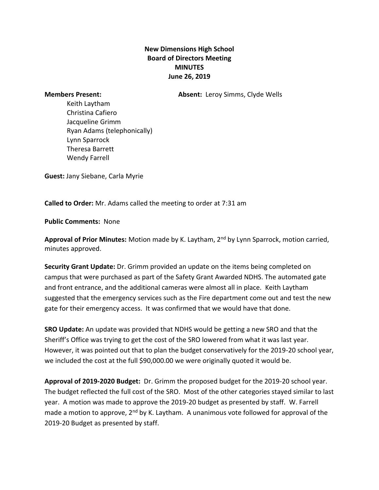## **New Dimensions High School Board of Directors Meeting MINUTES June 26, 2019**

**Members Present: Absent:** Leroy Simms, Clyde Wells

Keith Laytham Christina Cafiero Jacqueline Grimm Ryan Adams (telephonically) Lynn Sparrock Theresa Barrett Wendy Farrell

**Guest:** Jany Siebane, Carla Myrie

**Called to Order:** Mr. Adams called the meeting to order at 7:31 am

**Public Comments:** None

Approval of Prior Minutes: Motion made by K. Laytham, 2<sup>nd</sup> by Lynn Sparrock, motion carried, minutes approved.

**Security Grant Update:** Dr. Grimm provided an update on the items being completed on campus that were purchased as part of the Safety Grant Awarded NDHS. The automated gate and front entrance, and the additional cameras were almost all in place. Keith Laytham suggested that the emergency services such as the Fire department come out and test the new gate for their emergency access. It was confirmed that we would have that done.

**SRO Update:** An update was provided that NDHS would be getting a new SRO and that the Sheriff's Office was trying to get the cost of the SRO lowered from what it was last year. However, it was pointed out that to plan the budget conservatively for the 2019-20 school year, we included the cost at the full \$90,000.00 we were originally quoted it would be.

**Approval of 2019-2020 Budget:** Dr. Grimm the proposed budget for the 2019-20 school year. The budget reflected the full cost of the SRO. Most of the other categories stayed similar to last year. A motion was made to approve the 2019-20 budget as presented by staff. W. Farrell made a motion to approve,  $2<sup>nd</sup>$  by K. Laytham. A unanimous vote followed for approval of the 2019-20 Budget as presented by staff.